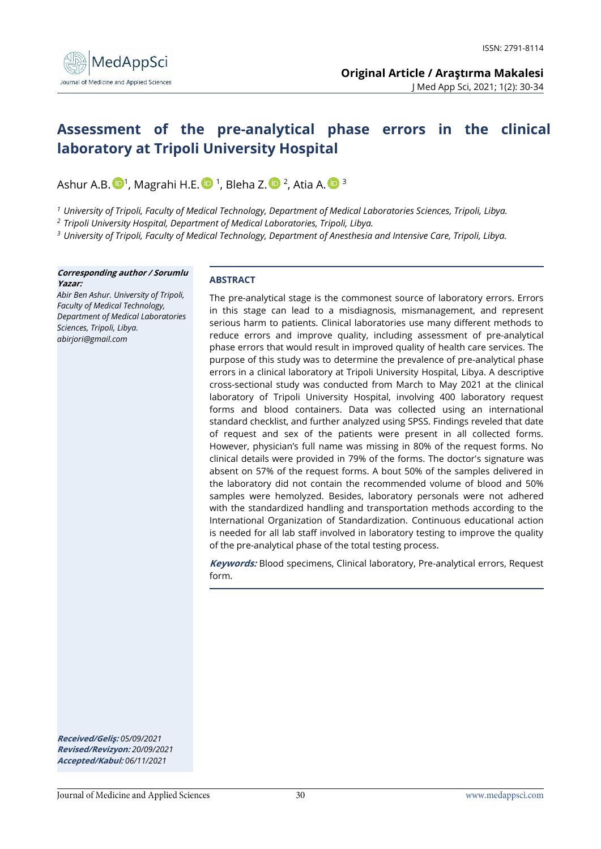

# **Assessment of the pre-analytical phase errors in the clinical laboratory at Tripoli University Hospital**

Ashur A.B.  $\mathbf{D}^{1}$ , Magrahi H.E.  $\mathbf{D}^{1}$ , Bleha Z.  $\mathbf{D}^{2}$ , Atia A.  $\mathbf{D}^{3}$ 

*<sup>1</sup> University of Tripoli, Faculty of Medical Technology, Department of Medical Laboratories Sciences, Tripoli, Libya.*

*<sup>2</sup> Tripoli University Hospital, Department of Medical Laboratories, Tripoli, Libya.*

*<sup>3</sup> University of Tripoli, Faculty of Medical Technology, Department of Anesthesia and Intensive Care, Tripoli, Libya.*

#### **Corresponding author / Sorumlu Yazar:**

*Abir Ben Ashur. University of Tripoli, Faculty of Medical Technology, Department of Medical Laboratories Sciences, Tripoli, Libya. abirjori@gmail.com*

#### **ABSTRACT**

The pre-analytical stage is the commonest source of laboratory errors. Errors in this stage can lead to a misdiagnosis, mismanagement, and represent serious harm to patients. Clinical laboratories use many different methods to reduce errors and improve quality, including assessment of pre-analytical phase errors that would result in improved quality of health care services. The purpose of this study was to determine the prevalence of pre-analytical phase errors in a clinical laboratory at Tripoli University Hospital, Libya. A descriptive cross-sectional study was conducted from March to May 2021 at the clinical laboratory of Tripoli University Hospital, involving 400 laboratory request forms and blood containers. Data was collected using an international standard checklist, and further analyzed using SPSS. Findings reveled that date of request and sex of the patients were present in all collected forms. However, physician's full name was missing in 80% of the request forms. No clinical details were provided in 79% of the forms. The doctor's signature was absent on 57% of the request forms. A bout 50% of the samples delivered in the laboratory did not contain the recommended volume of blood and 50% samples were hemolyzed. Besides, laboratory personals were not adhered with the standardized handling and transportation methods according to the International Organization of Standardization. Continuous educational action is needed for all lab staff involved in laboratory testing to improve the quality of the pre-analytical phase of the total testing process.

**Keywords:** Blood specimens, Clinical laboratory, Pre-analytical errors, Request form.

**Received/Geliş:** *05/09/2021* **Revised/Revizyon:** *20/09/2021* **Accepted/Kabul:** *06/11/2021*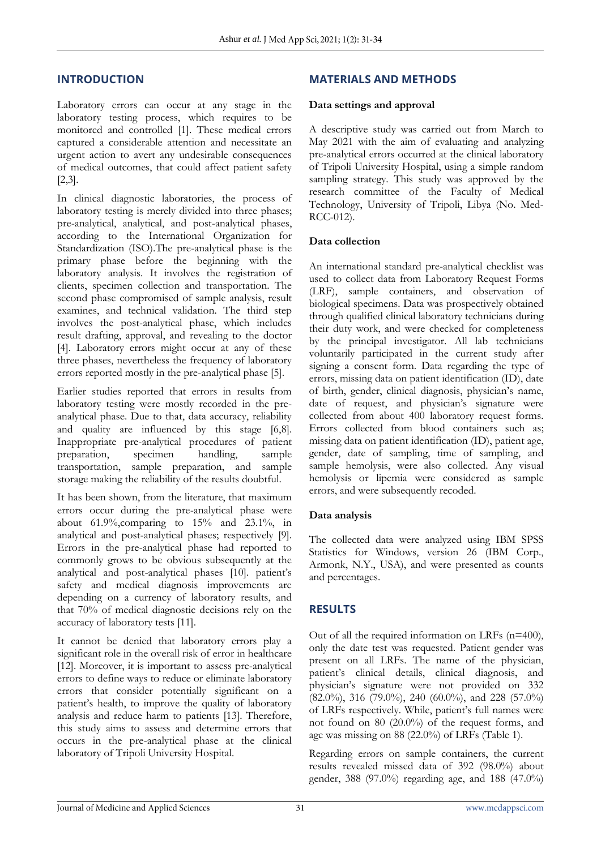### **INTRODUCTION**

Laboratory errors can occur at any stage in the laboratory testing process, which requires to be monitored and controlled [1]. These medical errors captured a considerable attention and necessitate an urgent action to avert any undesirable consequences of medical outcomes, that could affect patient safety [2,3].

In clinical diagnostic laboratories, the process of laboratory testing is merely divided into three phases; pre-analytical, analytical, and post-analytical phases, according to the International Organization for Standardization (ISO).The pre-analytical phase is the primary phase before the beginning with the laboratory analysis. It involves the registration of clients, specimen collection and transportation. The second phase compromised of sample analysis, result examines, and technical validation. The third step involves the post-analytical phase, which includes result drafting, approval, and revealing to the doctor [4]. Laboratory errors might occur at any of these three phases, nevertheless the frequency of laboratory errors reported mostly in the pre-analytical phase [5].

Earlier studies reported that errors in results from laboratory testing were mostly recorded in the preanalytical phase. Due to that, data accuracy, reliability and quality are influenced by this stage [6,8]. Inappropriate pre-analytical procedures of patient preparation, specimen handling, sample transportation, sample preparation, and sample storage making the reliability of the results doubtful.

It has been shown, from the literature, that maximum errors occur during the pre-analytical phase were about 61.9%,comparing to 15% and 23.1%, in analytical and post-analytical phases; respectively [9]. Errors in the pre-analytical phase had reported to commonly grows to be obvious subsequently at the analytical and post-analytical phases [10]. patient's safety and medical diagnosis improvements are depending on a currency of laboratory results, and that 70% of medical diagnostic decisions rely on the accuracy of laboratory tests [11].

It cannot be denied that laboratory errors play a significant role in the overall risk of error in healthcare [12]. Moreover, it is important to assess pre-analytical errors to define ways to reduce or eliminate laboratory errors that consider potentially significant on a patient's health, to improve the quality of laboratory analysis and reduce harm to patients [13]. Therefore, this study aims to assess and determine errors that occurs in the pre-analytical phase at the clinical laboratory of Tripoli University Hospital.

# **MATERIALS AND METHODS**

#### **Data settings and approval**

A descriptive study was carried out from March to May 2021 with the aim of evaluating and analyzing pre-analytical errors occurred at the clinical laboratory of Tripoli University Hospital, using a simple random sampling strategy. This study was approved by the research committee of the Faculty of Medical Technology, University of Tripoli, Libya (No. Med-RCC-012).

#### **Data collection**

An international standard pre-analytical checklist was used to collect data from Laboratory Request Forms (LRF), sample containers, and observation of biological specimens. Data was prospectively obtained through qualified clinical laboratory technicians during their duty work, and were checked for completeness by the principal investigator. All lab technicians voluntarily participated in the current study after signing a consent form. Data regarding the type of errors, missing data on patient identification (ID), date of birth, gender, clinical diagnosis, physician's name, date of request, and physician's signature were collected from about 400 laboratory request forms. Errors collected from blood containers such as; missing data on patient identification (ID), patient age, gender, date of sampling, time of sampling, and sample hemolysis, were also collected. Any visual hemolysis or lipemia were considered as sample errors, and were subsequently recoded.

#### **Data analysis**

The collected data were analyzed using IBM SPSS Statistics for Windows, version 26 (IBM Corp., Armonk, N.Y., USA), and were presented as counts and percentages.

# **RESULTS**

Out of all the required information on LRFs (n=400), only the date test was requested. Patient gender was present on all LRFs. The name of the physician, patient's clinical details, clinical diagnosis, and physician's signature were not provided on 332 (82.0%), 316 (79.0%), 240 (60.0%), and 228 (57.0%) of LRFs respectively. While, patient's full names were not found on 80 (20.0%) of the request forms, and age was missing on 88 (22.0%) of LRFs (Table 1).

Regarding errors on sample containers, the current results revealed missed data of 392 (98.0%) about gender, 388 (97.0%) regarding age, and 188 (47.0%)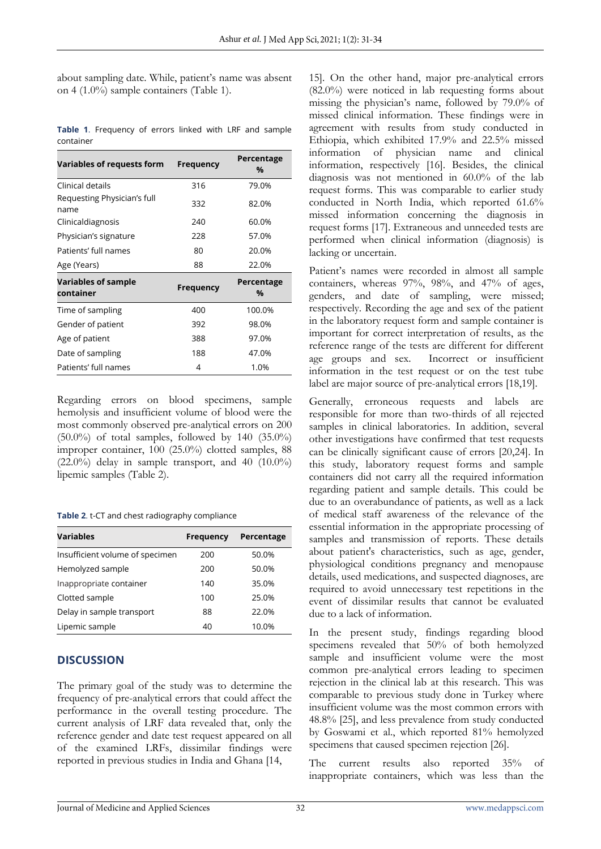about sampling date. While, patient's name was absent on 4 (1.0%) sample containers (Table 1).

| Variables of requests form              | <b>Frequency</b> | Percentage<br>% |
|-----------------------------------------|------------------|-----------------|
| Clinical details                        | 316              | 79.0%           |
| Requesting Physician's full<br>name     | 332              | 82.0%           |
| Clinicaldiagnosis                       | 240              | 60.0%           |
| Physician's signature                   | 228              | 57.0%           |
| Patients' full names                    | 80               | 20.0%           |
| Age (Years)                             | 88               | 22.0%           |
| <b>Variables of sample</b><br>container | <b>Frequency</b> | Percentage<br>% |
| Time of sampling                        | 400              | 100.0%          |
| Gender of patient                       | 392              | 98.0%           |
| Age of patient                          | 388              | 97.0%           |
| Date of sampling                        |                  |                 |
|                                         | 188              | 47.0%           |

**Table 1**. Frequency of errors linked with LRF and sample container

Regarding errors on blood specimens, sample hemolysis and insufficient volume of blood were the most commonly observed pre-analytical errors on 200  $(50.0\%)$  of total samples, followed by 140  $(35.0\%)$ improper container, 100 (25.0%) clotted samples, 88  $(22.0\%)$  delay in sample transport, and 40  $(10.0\%)$ lipemic samples (Table 2).

**Table 2**. t-CT and chest radiography compliance

| <b>Variables</b>                | <b>Frequency</b> | Percentage |
|---------------------------------|------------------|------------|
| Insufficient volume of specimen | 200              | 50.0%      |
| Hemolyzed sample                | 200              | 50.0%      |
| Inappropriate container         | 140              | 35.0%      |
| Clotted sample                  | 100              | 25.0%      |
| Delay in sample transport       | 88               | 22.0%      |
| Lipemic sample                  | 40               | 10.0%      |

# **DISCUSSION**

The primary goal of the study was to determine the frequency of pre-analytical errors that could affect the performance in the overall testing procedure. The current analysis of LRF data revealed that, only the reference gender and date test request appeared on all of the examined LRFs, dissimilar findings were reported in previous studies in India and Ghana [14,

15]. On the other hand, major pre-analytical errors (82.0%) were noticed in lab requesting forms about missing the physician's name, followed by 79.0% of missed clinical information. These findings were in agreement with results from study conducted in Ethiopia, which exhibited 17.9% and 22.5% missed information of physician name and clinical information, respectively [16]. Besides, the clinical diagnosis was not mentioned in 60.0% of the lab request forms. This was comparable to earlier study conducted in North India, which reported 61.6% missed information concerning the diagnosis in request forms [17]. Extraneous and unneeded tests are performed when clinical information (diagnosis) is lacking or uncertain.

Patient's names were recorded in almost all sample containers, whereas 97%, 98%, and 47% of ages, genders, and date of sampling, were missed; respectively. Recording the age and sex of the patient in the laboratory request form and sample container is important for correct interpretation of results, as the reference range of the tests are different for different age groups and sex. Incorrect or insufficient Incorrect or insufficient information in the test request or on the test tube label are major source of pre-analytical errors [18,19].

Generally, erroneous requests and labels are responsible for more than two-thirds of all rejected samples in clinical laboratories. In addition, several other investigations have confirmed that test requests can be clinically significant cause of errors [20,24]. In this study, laboratory request forms and sample containers did not carry all the required information regarding patient and sample details. This could be due to an overabundance of patients, as well as a lack of medical staff awareness of the relevance of the essential information in the appropriate processing of samples and transmission of reports. These details about patient's characteristics, such as age, gender, physiological conditions pregnancy and menopause details, used medications, and suspected diagnoses, are required to avoid unnecessary test repetitions in the event of dissimilar results that cannot be evaluated due to a lack of information.

In the present study, findings regarding blood specimens revealed that 50% of both hemolyzed sample and insufficient volume were the most common pre-analytical errors leading to specimen rejection in the clinical lab at this research. This was comparable to previous study done in Turkey where insufficient volume was the most common errors with 48.8% [25], and less prevalence from study conducted by Goswami et al., which reported 81% hemolyzed specimens that caused specimen rejection [26].

The current results also reported 35% of inappropriate containers, which was less than the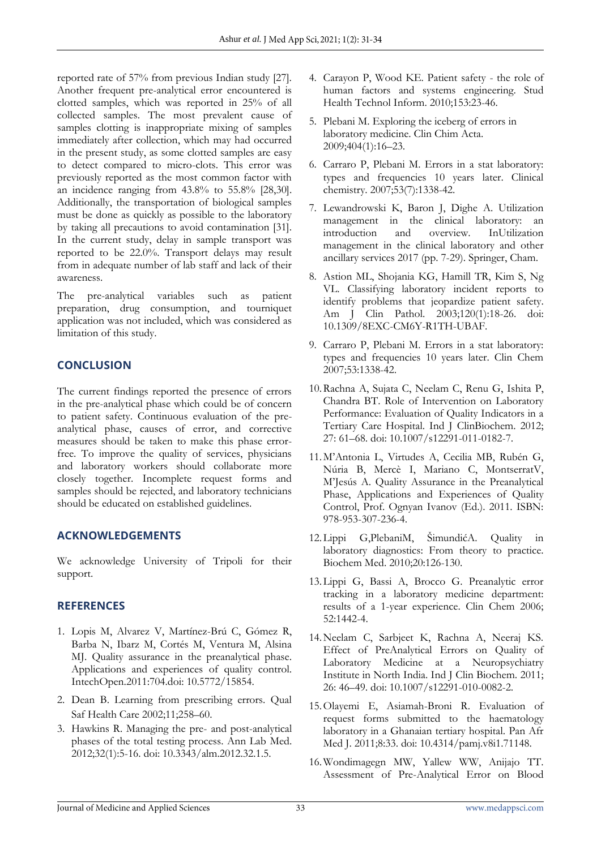reported rate of 57% from previous Indian study [27]. Another frequent pre-analytical error encountered is clotted samples, which was reported in 25% of all collected samples. The most prevalent cause of samples clotting is inappropriate mixing of samples immediately after collection, which may had occurred in the present study, as some clotted samples are easy to detect compared to micro-clots. This error was previously reported as the most common factor with an incidence ranging from 43.8% to 55.8% [28,30]. Additionally, the transportation of biological samples must be done as quickly as possible to the laboratory by taking all precautions to avoid contamination [31]. In the current study, delay in sample transport was reported to be 22.0%. Transport delays may result from in adequate number of lab staff and lack of their awareness.

The pre-analytical variables such as patient preparation, drug consumption, and tourniquet application was not included, which was considered as limitation of this study.

# **CONCLUSION**

The current findings reported the presence of errors in the pre-analytical phase which could be of concern to patient safety. Continuous evaluation of the preanalytical phase, causes of error, and corrective measures should be taken to make this phase errorfree. To improve the quality of services, physicians and laboratory workers should collaborate more closely together. Incomplete request forms and samples should be rejected, and laboratory technicians should be educated on established guidelines.

# **ACKNOWLEDGEMENTS**

We acknowledge University of Tripoli for their support.

# **REFERENCES**

- 1. Lopis M, Alvarez V, Martínez-Brú C, Gómez R, Barba N, Ibarz M, Cortés M, Ventura M, Alsina MJ. Quality assurance in the preanalytical phase. Applications and experiences of quality control. IntechOpen.2011:704.doi: 10.5772/15854.
- 2. Dean B. Learning from prescribing errors. Qual Saf Health Care 2002;11;258–60.
- 3. Hawkins R. Managing the pre- and post-analytical phases of the total testing process. Ann Lab Med. 2012;32(1):5-16. doi: 10.3343/alm.2012.32.1.5.
- 4. Carayon P, Wood KE. Patient safety the role of human factors and systems engineering. Stud Health Technol Inform. 2010;153:23-46.
- 5. Plebani M. Exploring the iceberg of errors in laboratory medicine. Clin Chim Acta. 2009;404(1):16–23.
- 6. Carraro P, Plebani M. Errors in a stat laboratory: types and frequencies 10 years later. Clinical chemistry. 2007;53(7):1338-42.
- 7. Lewandrowski K, Baron J, Dighe A. Utilization management in the clinical laboratory: an introduction and overview. InUtilization management in the clinical laboratory and other ancillary services 2017 (pp. 7-29). Springer, Cham.
- 8. Astion ML, Shojania KG, Hamill TR, Kim S, Ng VL. Classifying laboratory incident reports to identify problems that jeopardize patient safety. Am J Clin Pathol. 2003;120(1):18-26. doi: 10.1309/8EXC-CM6Y-R1TH-UBAF.
- 9. Carraro P, Plebani M. Errors in a stat laboratory: types and frequencies 10 years later. Clin Chem 2007;53:1338-42.
- 10.Rachna A, Sujata C, Neelam C, Renu G, Ishita P, Chandra BT. Role of Intervention on Laboratory Performance: Evaluation of Quality Indicators in a Tertiary Care Hospital. Ind J ClinBiochem. 2012; 27: 61–68. doi: 10.1007/s12291-011-0182-7.
- 11.M'Antonia L, Virtudes A, Cecilia MB, Rubén G, Núria B, Mercè I, Mariano C, MontserratV, M'Jesús A. Quality Assurance in the Preanalytical Phase, Applications and Experiences of Quality Control, Prof. Ognyan Ivanov (Ed.). 2011. ISBN: 978-953-307-236-4.
- 12.Lippi G,PlebaniM, ŠimundićA. Quality in laboratory diagnostics: From theory to practice. Biochem Med. 2010;20:126-130.
- 13.Lippi G, Bassi A, Brocco G. Preanalytic error tracking in a laboratory medicine department: results of a 1-year experience. Clin Chem 2006; 52:1442-4.
- 14.Neelam C, Sarbjeet K, Rachna A, Neeraj KS. Effect of PreAnalytical Errors on Quality of Laboratory Medicine at a Neuropsychiatry Institute in North India. Ind J Clin Biochem. 2011; 26: 46–49. doi: 10.1007/s12291-010-0082-2.
- 15.Olayemi E, Asiamah-Broni R. Evaluation of request forms submitted to the haematology laboratory in a Ghanaian tertiary hospital. Pan Afr Med J. 2011;8:33. doi: 10.4314/pamj.v8i1.71148.
- 16.Wondimagegn MW, Yallew WW, Anijajo TT. Assessment of Pre-Analytical Error on Blood